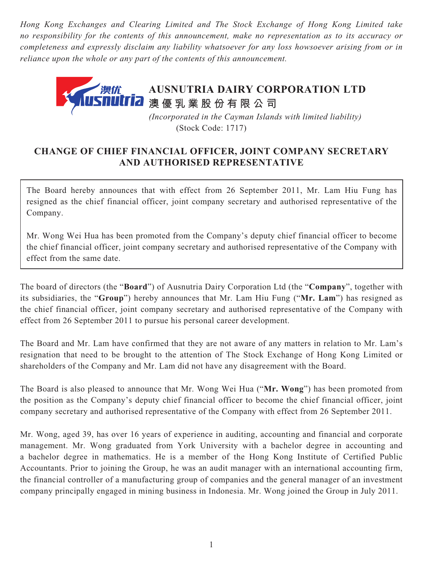*Hong Kong Exchanges and Clearing Limited and The Stock Exchange of Hong Kong Limited take no responsibility for the contents of this announcement, make no representation as to its accuracy or completeness and expressly disclaim any liability whatsoever for any loss howsoever arising from or in reliance upon the whole or any part of the contents of this announcement.*



## **CHANGE OF CHIEF FINANCIAL OFFICER, JOINT COMPANY SECRETARY AND AUTHORISED REPRESENTATIVE**

The Board hereby announces that with effect from 26 September 2011, Mr. Lam Hiu Fung has resigned as the chief financial officer, joint company secretary and authorised representative of the Company.

Mr. Wong Wei Hua has been promoted from the Company's deputy chief financial officer to become the chief financial officer, joint company secretary and authorised representative of the Company with effect from the same date.

The board of directors (the "**Board**") of Ausnutria Dairy Corporation Ltd (the "**Company**", together with its subsidiaries, the "**Group**") hereby announces that Mr. Lam Hiu Fung ("**Mr. Lam**") has resigned as the chief financial officer, joint company secretary and authorised representative of the Company with effect from 26 September 2011 to pursue his personal career development.

The Board and Mr. Lam have confirmed that they are not aware of any matters in relation to Mr. Lam's resignation that need to be brought to the attention of The Stock Exchange of Hong Kong Limited or shareholders of the Company and Mr. Lam did not have any disagreement with the Board.

The Board is also pleased to announce that Mr. Wong Wei Hua ("**Mr. Wong**") has been promoted from the position as the Company's deputy chief financial officer to become the chief financial officer, joint company secretary and authorised representative of the Company with effect from 26 September 2011.

Mr. Wong, aged 39, has over 16 years of experience in auditing, accounting and financial and corporate management. Mr. Wong graduated from York University with a bachelor degree in accounting and a bachelor degree in mathematics. He is a member of the Hong Kong Institute of Certified Public Accountants. Prior to joining the Group, he was an audit manager with an international accounting firm, the financial controller of a manufacturing group of companies and the general manager of an investment company principally engaged in mining business in Indonesia. Mr. Wong joined the Group in July 2011.